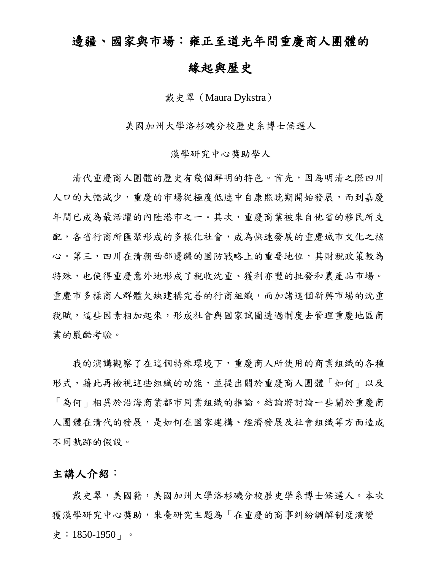## 邊疆、國家與市場:雍正至道光年間重慶商人團體的

### 緣起與歷史

戴史翠 (Maura Dykstra)

美國加州大學洛杉磯分校歷史系博士候選人

#### 漢學研究中心獎助學人

清代重慶商人團體的歷史有幾個鮮明的特色。首先,因為明清之際四川 人口的大幅減少,重慶的市場從極度低迷中自康熙晚期開始發展,而到嘉慶 年間已成為最活躍的內陸港市之一。其次,重慶商業被來自他省的移民所支 配,各省行商所匯聚形成的多樣化社會,成為快速發展的重慶城市文化之核 心。第三,四川在清朝西部邊疆的國防戰略上的重要地位,其財稅政策較為 特殊,也使得重慶意外地形成了稅收沈重、獲利亦豐的批發和農產品市場。 重慶市多樣商人群體欠缺建構完善的行商組織,而加諸這個新興市場的沈重 稅賦,這些因素相加起來,形成社會與國家試圖透過制度去管理重慶地區商 業的嚴酷考驗。

我的演講觀察了在這個特殊環境下,重慶商人所使用的商業組織的各種 形式,藉此再檢視這些組織的功能,並提出關於重慶商人團體「如何」以及 「為何」相異於沿海商業都市同業組織的推論。結論將討論一些關於重慶商 人團體在清代的發展,是如何在國家建構、經濟發展及社會組織等方面造成 不同軌跡的假設。

#### 主講人介紹:

載史翠,美國籍,美國加州大學洛杉磯分校歷史學系博士候選人。本次 獲漢學研究中心獎助,來臺研究主題為「在重慶的商事糾紛調解制度演變 史:1850-1950」。